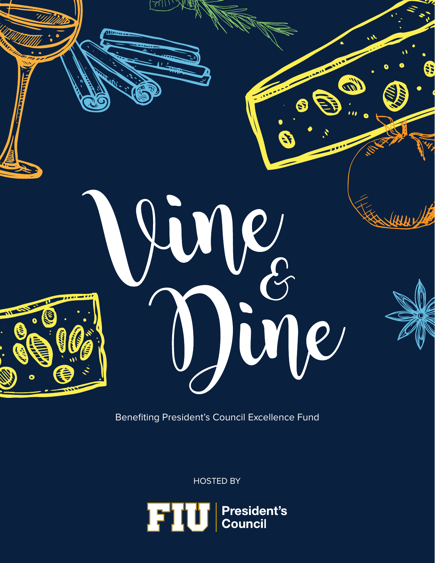

Benefiting President's Council Excellence Fund

HOSTED BY

FIU <sup>l</sup> President's<br>Council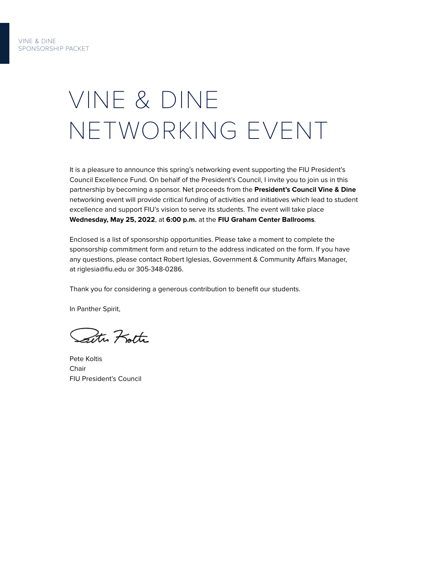# VINE & DINE NETWORKING EVENT

It is a pleasure to announce this spring's networking event supporting the FIU President's Council Excellence Fund. On behalf of the President's Council, I invite you to join us in this partnership by becoming a sponsor. Net proceeds from the **President's Council Vine & Dine** networking event will provide critical funding of activities and initiatives which lead to student excellence and support FIU's vision to serve its students. The event will take place **Wednesday, May 25, 2022**, at **6:00 p.m.** at the **FIU Graham Center Ballrooms**.

Enclosed is a list of sponsorship opportunities. Please take a moment to complete the sponsorship commitment form and return to the address indicated on the form. If you have any questions, please contact Robert Iglesias, Government & Community Affairs Manager, at riglesia@fiu.edu or 305-348-0286.

Thank you for considering a generous contribution to benefit our students.

In Panther Spirit,

Peter Kotte

Pete Koltis **Chair** FIU President's Council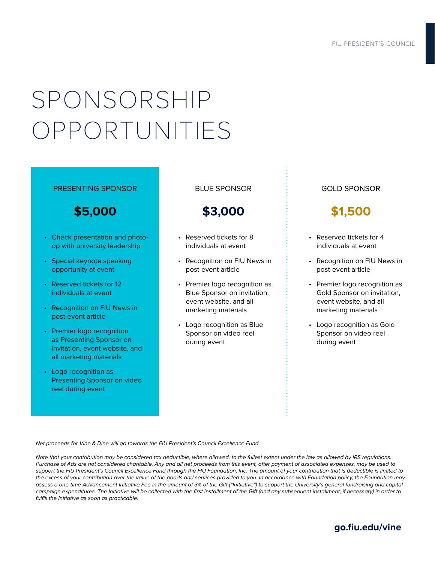# SPONSORSHIP OPPORTUNITIES

#### PRESENTING SPONSOR

### **\$5,000**

- Check presentation and photoop with university leadership
- Special keynote speaking opportunity at event
- Reserved tickets for 12 individuals at event
- Recognition on FIU News in post-event article
- Premier logo recognition as Presenting Sponsor on invitation, event website, and all marketing materials
- Logo recognition as Presenting Sponsor on video reel during event

BLUE SPONSOR

## **\$3,000**

- Reserved tickets for 8 individuals at event
- Recognition on FIU News in post-event article
- Premier logo recognition as Blue Sponsor on invitation, event website, and all marketing materials
- Logo recognition as Blue Sponsor on video reel during event

### GOLD SPONSOR

## **\$1,500**

- Reserved tickets for 4 individuals at event
- Recognition on FIU News in post-event article
- Premier logo recognition as Gold Sponsor on invitation, event website, and all marketing materials
- Logo recognition as Gold Sponsor on video reel during event

Net proceeds for Vine & Dine will go towards the FIU President's Council Excellence Fund.

Note that your contribution may be considered tax deductible, where allowed, to the fullest extent under the law as allowed by IRS regulations. Purchase of Ads are not considered charitable. Any and all net proceeds from this event, after payment of associated expenses, may be used to support the FIU President's Council Excellence Fund through the FIU Foundation, Inc. The amount of your contribution that is deductible is limited to the excess of your contribution over the value of the goods and services provided to you. In accordance with Foundation policy, the Foundation may assess a one-time Advancement Initiative Fee in the amount of 3% of the Gift ("Initiative") to support the University's general fundraising and capital campaign expenditures. The Initiative will be collected with the first installment of the Gift (and any subsequent installment, if necessary) in order to fulfill the Initiative as soon as practicable.